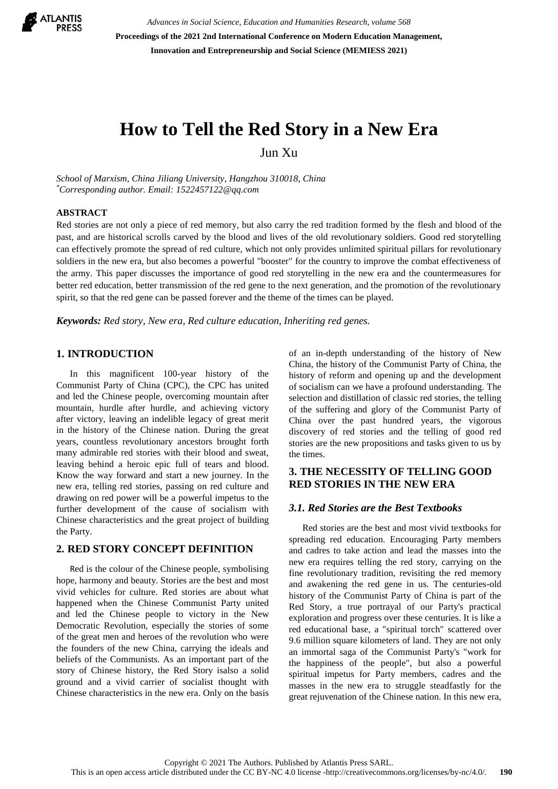

*Advances in Social Science, Education and Humanities Research, volume 568* **Proceedings of the 2021 2nd International Conference on Modern Education Management, Innovation and Entrepreneurship and Social Science (MEMIESS 2021)**

# **How to Tell the Red Story in a New Era**

Jun Xu

*School of Marxism, China Jiliang University, Hangzhou 310018, China \*Corresponding author. Email: [1522457122@qq.com](mailto:author@example.com)*

### **ABSTRACT**

Red stories are not only a piece of red memory, but also carry the red tradition formed by the flesh and blood of the past, and are historical scrolls carved by the blood and lives of the old revolutionary soldiers. Good red storytelling can effectively promote the spread of red culture, which not only provides unlimited spiritual pillars for revolutionary soldiers in the new era, but also becomes a powerful "booster" for the country to improve the combat effectiveness of the army. This paper discusses the importance of good red storytelling in the new era and the countermeasures for better red education, better transmission of the red gene to the next generation, and the promotion of the revolutionary spirit, so that the red gene can be passed forever and the theme of the times can be played.

*Keywords: Red story, New era, Red culture education, Inheriting red genes.* 

# **1. INTRODUCTION**

In this magnificent 100-year history of the Communist Party of China (CPC), the CPC has united and led the Chinese people, overcoming mountain after mountain, hurdle after hurdle, and achieving victory after victory, leaving an indelible legacy of great merit in the history of the Chinese nation. During the great years, countless revolutionary ancestors brought forth many admirable red stories with their blood and sweat, leaving behind a heroic epic full of tears and blood. Know the way forward and start a new journey. In the new era, telling red stories, passing on red culture and drawing on red power will be a powerful impetus to the further development of the cause of socialism with Chinese characteristics and the great project of building the Party.

# **2. RED STORY CONCEPT DEFINITION**

Red is the colour of the Chinese people, symbolising hope, harmony and beauty. Stories are the best and most vivid vehicles for culture. Red stories are about what happened when the Chinese Communist Party united and led the Chinese people to victory in the New Democratic Revolution, especially the stories of some of the great men and heroes of the revolution who were the founders of the new China, carrying the ideals and beliefs of the Communists. As an important part of the story of Chinese history, the Red Story isalso a solid ground and a vivid carrier of socialist thought with Chinese characteristics in the new era. Only on the basis of an in-depth understanding of the history of New China, the history of the Communist Party of China, the history of reform and opening up and the development of socialism can we have a profound understanding. The selection and distillation of classic red stories, the telling of the suffering and glory of the Communist Party of China over the past hundred years, the vigorous discovery of red stories and the telling of good red stories are the new propositions and tasks given to us by the times.

# **3. THE NECESSITY OF TELLING GOOD RED STORIES IN THE NEW ERA**

## *3.1. Red Stories are the Best Textbooks*

Red stories are the best and most vivid textbooks for spreading red education. Encouraging Party members and cadres to take action and lead the masses into the new era requires telling the red story, carrying on the fine revolutionary tradition, revisiting the red memory and awakening the red gene in us. The centuries-old history of the Communist Party of China is part of the Red Story, a true portrayal of our Party's practical exploration and progress over these centuries. It is like a red educational base, a "spiritual torch" scattered over 9.6 million square kilometers of land. They are not only an immortal saga of the Communist Party's "work for the happiness of the people", but also a powerful spiritual impetus for Party members, cadres and the masses in the new era to struggle steadfastly for the great rejuvenation of the Chinese nation. In this new era,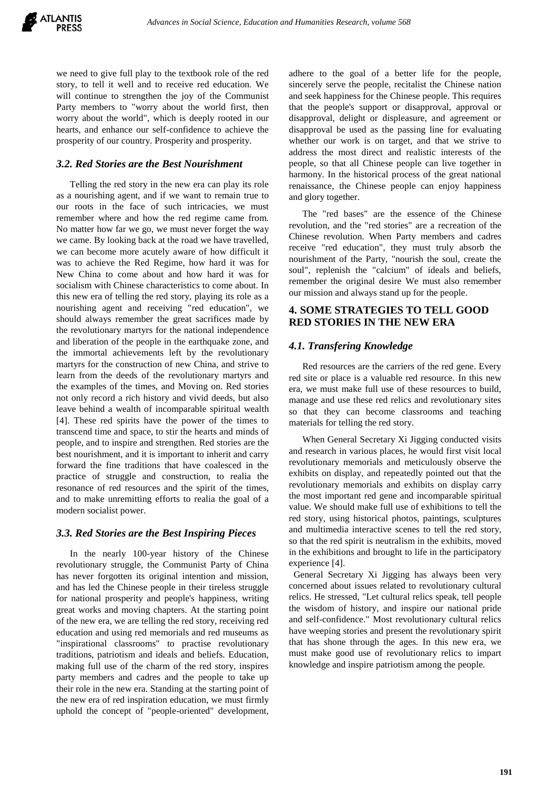we need to give full play to the textbook role of the red story, to tell it well and to receive red education. We will continue to strengthen the joy of the Communist Party members to "worry about the world first, then worry about the world", which is deeply rooted in our hearts, and enhance our self-confidence to achieve the prosperity of our country. Prosperity and prosperity.

# *3.2. Red Stories are the Best Nourishment*

Telling the red story in the new era can play its role as a nourishing agent, and if we want to remain true to our roots in the face of such intricacies, we must remember where and how the red regime came from. No matter how far we go, we must never forget the way we came. By looking back at the road we have travelled, we can become more acutely aware of how difficult it was to achieve the Red Regime, how hard it was for New China to come about and how hard it was for socialism with Chinese characteristics to come about. In this new era of telling the red story, playing its role as a nourishing agent and receiving "red education", we should always remember the great sacrifices made by the revolutionary martyrs for the national independence and liberation of the people in the earthquake zone, and the immortal achievements left by the revolutionary martyrs for the construction of new China, and strive to learn from the deeds of the revolutionary martyrs and the examples of the times, and Moving on. Red stories not only record a rich history and vivid deeds, but also leave behind a wealth of incomparable spiritual wealth [4]. These red spirits have the power of the times to transcend time and space, to stir the hearts and minds of people, and to inspire and strengthen. Red stories are the best nourishment, and it is important to inherit and carry forward the fine traditions that have coalesced in the practice of struggle and construction, to realia the resonance of red resources and the spirit of the times, and to make unremitting efforts to realia the goal of a modern socialist power.

## *3.3. Red Stories are the Best Inspiring Pieces*

In the nearly 100-year history of the Chinese revolutionary struggle, the Communist Party of China has never forgotten its original intention and mission, and has led the Chinese people in their tireless struggle for national prosperity and people's happiness, writing great works and moving chapters. At the starting point of the new era, we are telling the red story, receiving red education and using red memorials and red museums as "inspirational classrooms" to practise revolutionary traditions, patriotism and ideals and beliefs. Education, making full use of the charm of the red story, inspires party members and cadres and the people to take up their role in the new era. Standing at the starting point of the new era of red inspiration education, we must firmly uphold the concept of "people-oriented" development,

adhere to the goal of a better life for the people, sincerely serve the people, recitalist the Chinese nation and seek happiness for the Chinese people. This requires that the people's support or disapproval, approval or disapproval, delight or displeasure, and agreement or disapproval be used as the passing line for evaluating whether our work is on target, and that we strive to address the most direct and realistic interests of the people, so that all Chinese people can live together in harmony. In the historical process of the great national renaissance, the Chinese people can enjoy happiness and glory together.

The "red bases" are the essence of the Chinese revolution, and the "red stories" are a recreation of the Chinese revolution. When Party members and cadres receive "red education", they must truly absorb the nourishment of the Party, "nourish the soul, create the soul", replenish the "calcium" of ideals and beliefs, remember the original desire We must also remember our mission and always stand up for the people.

# **4. SOME STRATEGIES TO TELL GOOD RED STORIES IN THE NEW ERA**

## *4.1. Transfering Knowledge*

Red resources are the carriers of the red gene. Every red site or place is a valuable red resource. In this new era, we must make full use of these resources to build, manage and use these red relics and revolutionary sites so that they can become classrooms and teaching materials for telling the red story.

When General Secretary Xi Jigging conducted visits and research in various places, he would first visit local revolutionary memorials and meticulously observe the exhibits on display, and repeatedly pointed out that the revolutionary memorials and exhibits on display carry the most important red gene and incomparable spiritual value. We should make full use of exhibitions to tell the red story, using historical photos, paintings, sculptures and multimedia interactive scenes to tell the red story, so that the red spirit is neutralism in the exhibits, moved in the exhibitions and brought to life in the participatory experience [4].

General Secretary Xi Jigging has always been very concerned about issues related to revolutionary cultural relics. He stressed, "Let cultural relics speak, tell people the wisdom of history, and inspire our national pride and self-confidence." Most revolutionary cultural relics have weeping stories and present the revolutionary spirit that has shone through the ages. In this new era, we must make good use of revolutionary relics to impart knowledge and inspire patriotism among the people.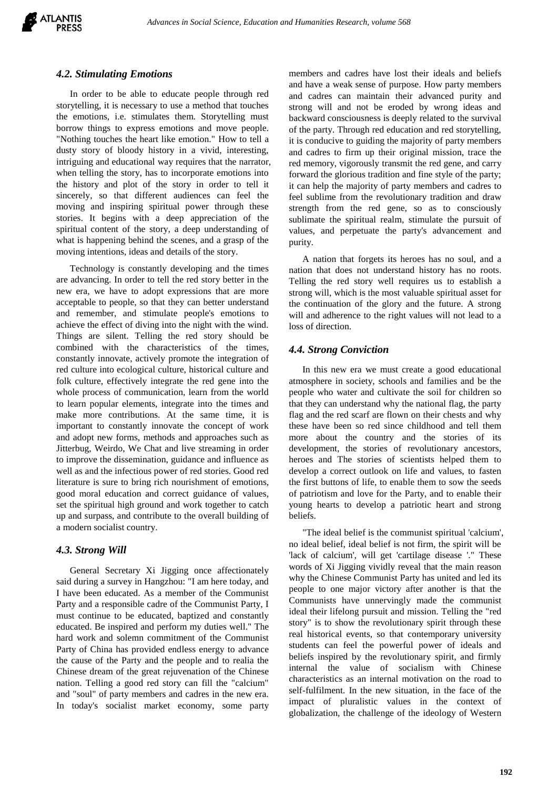

#### *4.2. Stimulating Emotions*

In order to be able to educate people through red storytelling, it is necessary to use a method that touches the emotions, i.e. stimulates them. Storytelling must borrow things to express emotions and move people. "Nothing touches the heart like emotion." How to tell a dusty story of bloody history in a vivid, interesting, intriguing and educational way requires that the narrator, when telling the story, has to incorporate emotions into the history and plot of the story in order to tell it sincerely, so that different audiences can feel the moving and inspiring spiritual power through these stories. It begins with a deep appreciation of the spiritual content of the story, a deep understanding of what is happening behind the scenes, and a grasp of the moving intentions, ideas and details of the story.

Technology is constantly developing and the times are advancing. In order to tell the red story better in the new era, we have to adopt expressions that are more acceptable to people, so that they can better understand and remember, and stimulate people's emotions to achieve the effect of diving into the night with the wind. Things are silent. Telling the red story should be combined with the characteristics of the times, constantly innovate, actively promote the integration of red culture into ecological culture, historical culture and folk culture, effectively integrate the red gene into the whole process of communication, learn from the world to learn popular elements, integrate into the times and make more contributions. At the same time, it is important to constantly innovate the concept of work and adopt new forms, methods and approaches such as Jitterbug, Weirdo, We Chat and live streaming in order to improve the dissemination, guidance and influence as well as and the infectious power of red stories. Good red literature is sure to bring rich nourishment of emotions, good moral education and correct guidance of values, set the spiritual high ground and work together to catch up and surpass, and contribute to the overall building of a modern socialist country.

## *4.3. Strong Will*

General Secretary Xi Jigging once affectionately said during a survey in Hangzhou: "I am here today, and I have been educated. As a member of the Communist Party and a responsible cadre of the Communist Party, I must continue to be educated, baptized and constantly educated. Be inspired and perform my duties well." The hard work and solemn commitment of the Communist Party of China has provided endless energy to advance the cause of the Party and the people and to realia the Chinese dream of the great rejuvenation of the Chinese nation. Telling a good red story can fill the "calcium" and "soul" of party members and cadres in the new era. In today's socialist market economy, some party members and cadres have lost their ideals and beliefs and have a weak sense of purpose. How party members and cadres can maintain their advanced purity and strong will and not be eroded by wrong ideas and backward consciousness is deeply related to the survival of the party. Through red education and red storytelling, it is conducive to guiding the majority of party members and cadres to firm up their original mission, trace the red memory, vigorously transmit the red gene, and carry forward the glorious tradition and fine style of the party; it can help the majority of party members and cadres to feel sublime from the revolutionary tradition and draw strength from the red gene, so as to consciously sublimate the spiritual realm, stimulate the pursuit of values, and perpetuate the party's advancement and purity.

A nation that forgets its heroes has no soul, and a nation that does not understand history has no roots. Telling the red story well requires us to establish a strong will, which is the most valuable spiritual asset for the continuation of the glory and the future. A strong will and adherence to the right values will not lead to a loss of direction.

## *4.4. Strong Conviction*

In this new era we must create a good educational atmosphere in society, schools and families and be the people who water and cultivate the soil for children so that they can understand why the national flag, the party flag and the red scarf are flown on their chests and why these have been so red since childhood and tell them more about the country and the stories of its development, the stories of revolutionary ancestors, heroes and The stories of scientists helped them to develop a correct outlook on life and values, to fasten the first buttons of life, to enable them to sow the seeds of patriotism and love for the Party, and to enable their young hearts to develop a patriotic heart and strong beliefs.

"The ideal belief is the communist spiritual 'calcium', no ideal belief, ideal belief is not firm, the spirit will be 'lack of calcium', will get 'cartilage disease '." These words of Xi Jigging vividly reveal that the main reason why the Chinese Communist Party has united and led its people to one major victory after another is that the Communists have unnervingly made the communist ideal their lifelong pursuit and mission. Telling the "red story" is to show the revolutionary spirit through these real historical events, so that contemporary university students can feel the powerful power of ideals and beliefs inspired by the revolutionary spirit, and firmly internal the value of socialism with Chinese characteristics as an internal motivation on the road to self-fulfilment. In the new situation, in the face of the impact of pluralistic values in the context of globalization, the challenge of the ideology of Western